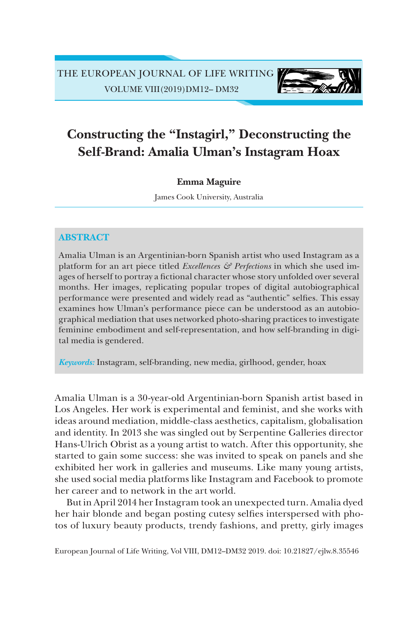

# **Constructing the "Instagirl," Deconstructing the Self-Brand: Amalia Ulman's Instagram Hoax**

# **Emma Maguire**

James Cook University, Australia

# **Abstract**

Amalia Ulman is an Argentinian-born Spanish artist who used Instagram as a platform for an art piece titled *Excellences & Perfections* in which she used images of herself to portray a fictional character whose story unfolded over several months. Her images, replicating popular tropes of digital autobiographical performance were presented and widely read as "authentic" selfies. This essay examines how Ulman's performance piece can be understood as an autobiographical mediation that uses networked photo-sharing practices to investigate feminine embodiment and self-representation, and how self-branding in digital media is gendered.

*Keywords:* Instagram, self-branding, new media, girlhood, gender, hoax

Amalia Ulman is a 30-year-old Argentinian-born Spanish artist based in Los Angeles. Her work is experimental and feminist, and she works with ideas around mediation, middle-class aesthetics, capitalism, globalisation and identity. In 2013 she was singled out by Serpentine Galleries director Hans-Ulrich Obrist as a young artist to watch. After this opportunity, she started to gain some success: she was invited to speak on panels and she exhibited her work in galleries and museums. Like many young artists, she used social media platforms like Instagram and Facebook to promote her career and to network in the art world.

But in April 2014 her Instagram took an unexpected turn. Amalia dyed her hair blonde and began posting cutesy selfies interspersed with photos of luxury beauty products, trendy fashions, and pretty, girly images

European Journal of Life Writing, Vol VIII, DM12–DM32 2019. doi: 10.21827/ejlw.8.35546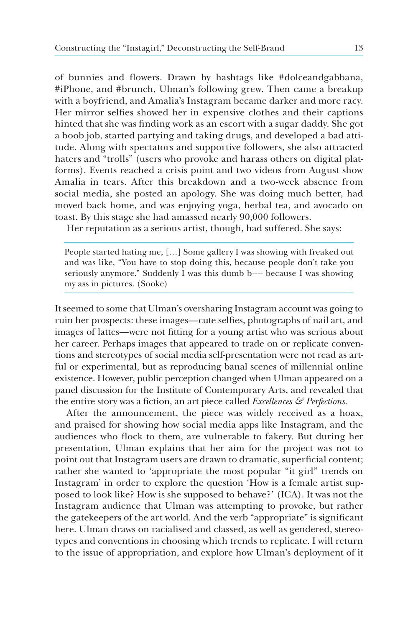of bunnies and flowers. Drawn by hashtags like #dolceandgabbana, #iPhone, and #brunch, Ulman's following grew. Then came a breakup with a boyfriend, and Amalia's Instagram became darker and more racy. Her mirror selfies showed her in expensive clothes and their captions hinted that she was finding work as an escort with a sugar daddy. She got a boob job, started partying and taking drugs, and developed a bad attitude. Along with spectators and supportive followers, she also attracted haters and "trolls" (users who provoke and harass others on digital platforms). Events reached a crisis point and two videos from August show Amalia in tears. After this breakdown and a two-week absence from social media, she posted an apology. She was doing much better, had moved back home, and was enjoying yoga, herbal tea, and avocado on toast. By this stage she had amassed nearly 90,000 followers.

Her reputation as a serious artist, though, had suffered. She says:

People started hating me, […] Some gallery I was showing with freaked out and was like, "You have to stop doing this, because people don't take you seriously anymore." Suddenly I was this dumb b---- because I was showing my ass in pictures. (Sooke)

It seemed to some that Ulman's oversharing Instagram account was going to ruin her prospects: these images—cute selfies, photographs of nail art, and images of lattes—were not fitting for a young artist who was serious about her career. Perhaps images that appeared to trade on or replicate conventions and stereotypes of social media self-presentation were not read as artful or experimental, but as reproducing banal scenes of millennial online existence. However, public perception changed when Ulman appeared on a panel discussion for the Institute of Contemporary Arts, and revealed that the entire story was a fiction, an art piece called *Excellences & Perfections*.

After the announcement, the piece was widely received as a hoax, and praised for showing how social media apps like Instagram, and the audiences who flock to them, are vulnerable to fakery. But during her presentation, Ulman explains that her aim for the project was not to point out that Instagram users are drawn to dramatic, superficial content; rather she wanted to 'appropriate the most popular "it girl" trends on Instagram' in order to explore the question 'How is a female artist supposed to look like? How is she supposed to behave?' (ICA). It was not the Instagram audience that Ulman was attempting to provoke, but rather the gatekeepers of the art world. And the verb "appropriate" is significant here. Ulman draws on racialised and classed, as well as gendered, stereotypes and conventions in choosing which trends to replicate. I will return to the issue of appropriation, and explore how Ulman's deployment of it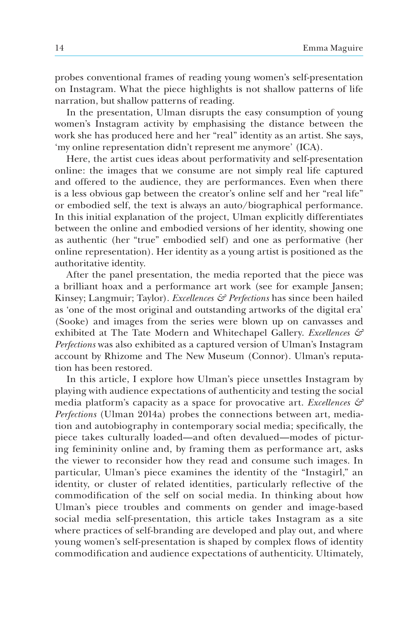probes conventional frames of reading young women's self-presentation on Instagram. What the piece highlights is not shallow patterns of life narration, but shallow patterns of reading.

In the presentation, Ulman disrupts the easy consumption of young women's Instagram activity by emphasising the distance between the work she has produced here and her "real" identity as an artist. She says, 'my online representation didn't represent me anymore' (ICA).

Here, the artist cues ideas about performativity and self-presentation online: the images that we consume are not simply real life captured and offered to the audience, they are performances. Even when there is a less obvious gap between the creator's online self and her "real life" or embodied self, the text is always an auto/biographical performance. In this initial explanation of the project, Ulman explicitly differentiates between the online and embodied versions of her identity, showing one as authentic (her "true" embodied self) and one as performative (her online representation). Her identity as a young artist is positioned as the authoritative identity.

After the panel presentation, the media reported that the piece was a brilliant hoax and a performance art work (see for example Jansen; Kinsey; Langmuir; Taylor). *Excellences & Perfections* has since been hailed as 'one of the most original and outstanding artworks of the digital era' (Sooke) and images from the series were blown up on canvasses and exhibited at The Tate Modern and Whitechapel Gallery. *Excellences & Perfections* was also exhibited as a captured version of Ulman's Instagram account by Rhizome and The New Museum (Connor). Ulman's reputation has been restored.

In this article, I explore how Ulman's piece unsettles Instagram by playing with audience expectations of authenticity and testing the social media platform's capacity as a space for provocative art. *Excellences & Perfections* (Ulman 2014a) probes the connections between art, mediation and autobiography in contemporary social media; specifically, the piece takes culturally loaded—and often devalued—modes of picturing femininity online and, by framing them as performance art, asks the viewer to reconsider how they read and consume such images. In particular, Ulman's piece examines the identity of the "Instagirl," an identity, or cluster of related identities, particularly reflective of the commodification of the self on social media. In thinking about how Ulman's piece troubles and comments on gender and image-based social media self-presentation, this article takes Instagram as a site where practices of self-branding are developed and play out, and where young women's self-presentation is shaped by complex flows of identity commodification and audience expectations of authenticity. Ultimately,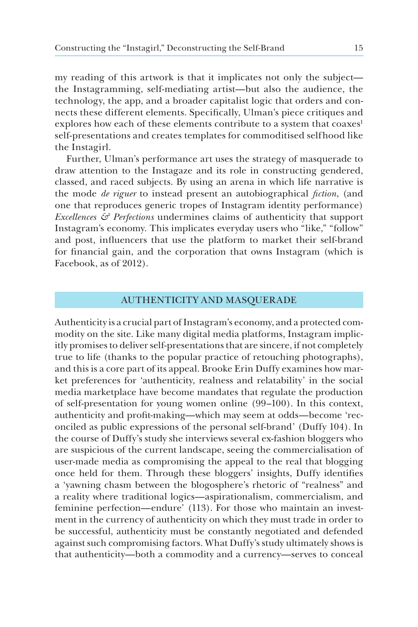my reading of this artwork is that it implicates not only the subject the Instagramming, self-mediating artist—but also the audience, the technology, the app, and a broader capitalist logic that orders and connects these different elements. Specifically, Ulman's piece critiques and explores how each of these elements contribute to a system that  $coaxes<sup>1</sup>$ self-presentations and creates templates for commoditised selfhood like the Instagirl.

Further, Ulman's performance art uses the strategy of masquerade to draw attention to the Instagaze and its role in constructing gendered, classed, and raced subjects. By using an arena in which life narrative is the mode *de riguer* to instead present an autobiographical *fiction*, (and one that reproduces generic tropes of Instagram identity performance) *Excellences & Perfections* undermines claims of authenticity that support Instagram's economy. This implicates everyday users who "like," "follow" and post, influencers that use the platform to market their self-brand for financial gain, and the corporation that owns Instagram (which is Facebook, as of 2012).

## AUTHENTICITY AND MASQUERADE

Authenticity is a crucial part of Instagram's economy, and a protected commodity on the site. Like many digital media platforms, Instagram implicitly promises to deliver self-presentations that are sincere, if not completely true to life (thanks to the popular practice of retouching photographs), and this is a core part of its appeal. Brooke Erin Duffy examines how market preferences for 'authenticity, realness and relatability' in the social media marketplace have become mandates that regulate the production of self-presentation for young women online (99–100). In this context, authenticity and profit-making—which may seem at odds—become 'reconciled as public expressions of the personal self-brand' (Duffy 104). In the course of Duffy's study she interviews several ex-fashion bloggers who are suspicious of the current landscape, seeing the commercialisation of user-made media as compromising the appeal to the real that blogging once held for them. Through these bloggers' insights, Duffy identifies a 'yawning chasm between the blogosphere's rhetoric of "realness" and a reality where traditional logics—aspirationalism, commercialism, and feminine perfection—endure' (113). For those who maintain an investment in the currency of authenticity on which they must trade in order to be successful, authenticity must be constantly negotiated and defended against such compromising factors. What Duffy's study ultimately shows is that authenticity—both a commodity and a currency—serves to conceal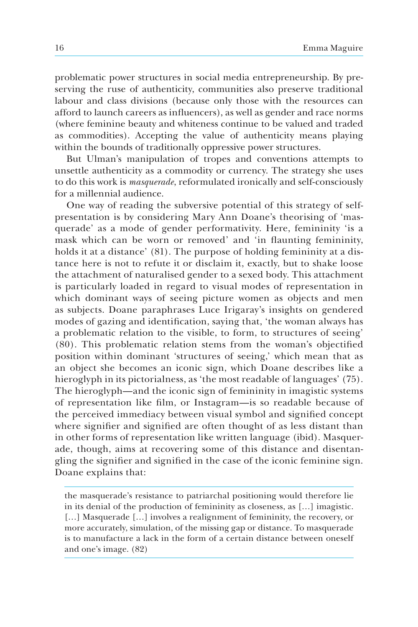problematic power structures in social media entrepreneurship. By preserving the ruse of authenticity, communities also preserve traditional labour and class divisions (because only those with the resources can afford to launch careers as influencers), as well as gender and race norms (where feminine beauty and whiteness continue to be valued and traded as commodities). Accepting the value of authenticity means playing within the bounds of traditionally oppressive power structures.

But Ulman's manipulation of tropes and conventions attempts to unsettle authenticity as a commodity or currency. The strategy she uses to do this work is *masquerade*, reformulated ironically and self-consciously for a millennial audience.

One way of reading the subversive potential of this strategy of selfpresentation is by considering Mary Ann Doane's theorising of 'masquerade' as a mode of gender performativity. Here, femininity 'is a mask which can be worn or removed' and 'in flaunting femininity, holds it at a distance' (81). The purpose of holding femininity at a distance here is not to refute it or disclaim it, exactly, but to shake loose the attachment of naturalised gender to a sexed body. This attachment is particularly loaded in regard to visual modes of representation in which dominant ways of seeing picture women as objects and men as subjects. Doane paraphrases Luce Irigaray's insights on gendered modes of gazing and identification, saying that, 'the woman always has a problematic relation to the visible, to form, to structures of seeing' (80). This problematic relation stems from the woman's objectified position within dominant 'structures of seeing,' which mean that as an object she becomes an iconic sign, which Doane describes like a hieroglyph in its pictorialness, as 'the most readable of languages' (75). The hieroglyph—and the iconic sign of femininity in imagistic systems of representation like film, or Instagram—is so readable because of the perceived immediacy between visual symbol and signified concept where signifier and signified are often thought of as less distant than in other forms of representation like written language (ibid). Masquerade, though, aims at recovering some of this distance and disentangling the signifier and signified in the case of the iconic feminine sign. Doane explains that:

the masquerade's resistance to patriarchal positioning would therefore lie in its denial of the production of femininity as closeness, as […] imagistic. [...] Masquerade [...] involves a realignment of femininity, the recovery, or more accurately, simulation, of the missing gap or distance. To masquerade is to manufacture a lack in the form of a certain distance between oneself and one's image. (82)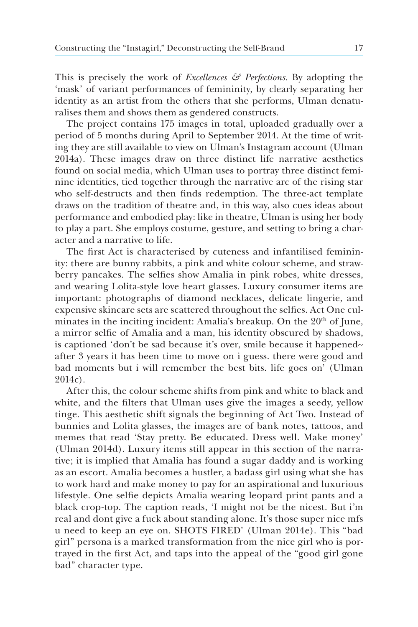This is precisely the work of *Excellences & Perfections*. By adopting the 'mask' of variant performances of femininity, by clearly separating her identity as an artist from the others that she performs, Ulman denaturalises them and shows them as gendered constructs.

The project contains 175 images in total, uploaded gradually over a period of 5 months during April to September 2014. At the time of writing they are still available to view on Ulman's Instagram account (Ulman 2014a). These images draw on three distinct life narrative aesthetics found on social media, which Ulman uses to portray three distinct feminine identities, tied together through the narrative arc of the rising star who self-destructs and then finds redemption. The three-act template draws on the tradition of theatre and, in this way, also cues ideas about performance and embodied play: like in theatre, Ulman is using her body to play a part. She employs costume, gesture, and setting to bring a character and a narrative to life.

The first Act is characterised by cuteness and infantilised femininity: there are bunny rabbits, a pink and white colour scheme, and strawberry pancakes. The selfies show Amalia in pink robes, white dresses, and wearing Lolita-style love heart glasses. Luxury consumer items are important: photographs of diamond necklaces, delicate lingerie, and expensive skincare sets are scattered throughout the selfies. Act One culminates in the inciting incident: Amalia's breakup. On the  $20<sup>th</sup>$  of June, a mirror selfie of Amalia and a man, his identity obscured by shadows, is captioned 'don't be sad because it's over, smile because it happened~ after 3 years it has been time to move on i guess. there were good and bad moments but i will remember the best bits. life goes on' (Ulman 2014c).

After this, the colour scheme shifts from pink and white to black and white, and the filters that Ulman uses give the images a seedy, yellow tinge. This aesthetic shift signals the beginning of Act Two. Instead of bunnies and Lolita glasses, the images are of bank notes, tattoos, and memes that read 'Stay pretty. Be educated. Dress well. Make money' (Ulman 2014d). Luxury items still appear in this section of the narrative; it is implied that Amalia has found a sugar daddy and is working as an escort. Amalia becomes a hustler, a badass girl using what she has to work hard and make money to pay for an aspirational and luxurious lifestyle. One selfie depicts Amalia wearing leopard print pants and a black crop-top. The caption reads, 'I might not be the nicest. But i'm real and dont give a fuck about standing alone. It's those super nice mfs u need to keep an eye on. SHOTS FIRED' (Ulman 2014e). This "bad girl" persona is a marked transformation from the nice girl who is portrayed in the first Act, and taps into the appeal of the "good girl gone bad" character type.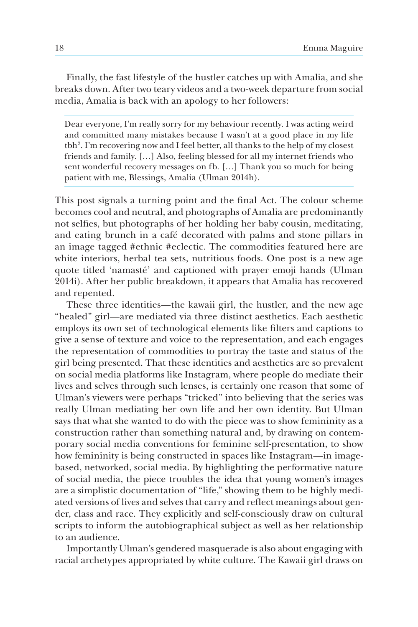Finally, the fast lifestyle of the hustler catches up with Amalia, and she breaks down. After two teary videos and a two-week departure from social media, Amalia is back with an apology to her followers:

Dear everyone, I'm really sorry for my behaviour recently. I was acting weird and committed many mistakes because I wasn't at a good place in my life tbh2 . I'm recovering now and I feel better, all thanks to the help of my closest friends and family. […] Also, feeling blessed for all my internet friends who sent wonderful recovery messages on fb. […] Thank you so much for being patient with me, Blessings, Amalia (Ulman 2014h).

This post signals a turning point and the final Act. The colour scheme becomes cool and neutral, and photographs of Amalia are predominantly not selfies, but photographs of her holding her baby cousin, meditating, and eating brunch in a café decorated with palms and stone pillars in an image tagged #ethnic #eclectic. The commodities featured here are white interiors, herbal tea sets, nutritious foods. One post is a new age quote titled 'namasté' and captioned with prayer emoji hands (Ulman 2014i). After her public breakdown, it appears that Amalia has recovered and repented.

These three identities—the kawaii girl, the hustler, and the new age "healed" girl—are mediated via three distinct aesthetics. Each aesthetic employs its own set of technological elements like filters and captions to give a sense of texture and voice to the representation, and each engages the representation of commodities to portray the taste and status of the girl being presented. That these identities and aesthetics are so prevalent on social media platforms like Instagram, where people do mediate their lives and selves through such lenses, is certainly one reason that some of Ulman's viewers were perhaps "tricked" into believing that the series was really Ulman mediating her own life and her own identity. But Ulman says that what she wanted to do with the piece was to show femininity as a construction rather than something natural and, by drawing on contemporary social media conventions for feminine self-presentation, to show how femininity is being constructed in spaces like Instagram—in imagebased, networked, social media. By highlighting the performative nature of social media, the piece troubles the idea that young women's images are a simplistic documentation of "life," showing them to be highly mediated versions of lives and selves that carry and reflect meanings about gender, class and race. They explicitly and self-consciously draw on cultural scripts to inform the autobiographical subject as well as her relationship to an audience.

Importantly Ulman's gendered masquerade is also about engaging with racial archetypes appropriated by white culture. The Kawaii girl draws on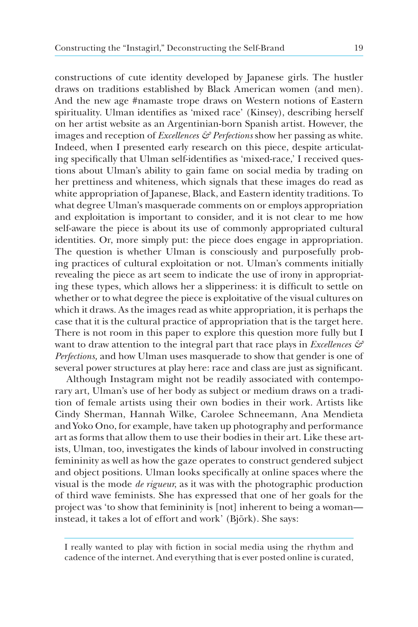constructions of cute identity developed by Japanese girls. The hustler draws on traditions established by Black American women (and men). And the new age #namaste trope draws on Western notions of Eastern spirituality. Ulman identifies as 'mixed race' (Kinsey), describing herself on her artist website as an Argentinian-born Spanish artist. However, the images and reception of *Excellences & Perfections* show her passing as white. Indeed, when I presented early research on this piece, despite articulating specifically that Ulman self-identifies as 'mixed-race,' I received questions about Ulman's ability to gain fame on social media by trading on her prettiness and whiteness, which signals that these images do read as white appropriation of Japanese, Black, and Eastern identity traditions. To what degree Ulman's masquerade comments on or employs appropriation and exploitation is important to consider, and it is not clear to me how self-aware the piece is about its use of commonly appropriated cultural identities. Or, more simply put: the piece does engage in appropriation. The question is whether Ulman is consciously and purposefully probing practices of cultural exploitation or not. Ulman's comments initially revealing the piece as art seem to indicate the use of irony in appropriating these types, which allows her a slipperiness: it is difficult to settle on whether or to what degree the piece is exploitative of the visual cultures on which it draws. As the images read as white appropriation, it is perhaps the case that it is the cultural practice of appropriation that is the target here. There is not room in this paper to explore this question more fully but I want to draw attention to the integral part that race plays in *Excellences*  $\mathcal{C}$ *Perfections,* and how Ulman uses masquerade to show that gender is one of several power structures at play here: race and class are just as significant.

Although Instagram might not be readily associated with contemporary art, Ulman's use of her body as subject or medium draws on a tradition of female artists using their own bodies in their work. Artists like Cindy Sherman, Hannah Wilke, Carolee Schneemann, Ana Mendieta and Yoko Ono, for example, have taken up photography and performance art as forms that allow them to use their bodies in their art. Like these artists, Ulman, too, investigates the kinds of labour involved in constructing femininity as well as how the gaze operates to construct gendered subject and object positions. Ulman looks specifically at online spaces where the visual is the mode *de rigueur*, as it was with the photographic production of third wave feminists. She has expressed that one of her goals for the project was 'to show that femininity is [not] inherent to being a woman instead, it takes a lot of effort and work' (Björk). She says:

I really wanted to play with fiction in social media using the rhythm and cadence of the internet. And everything that is ever posted online is curated,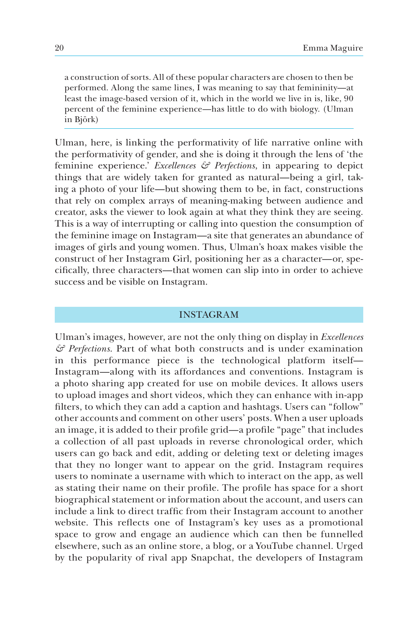a construction of sorts. All of these popular characters are chosen to then be performed. Along the same lines, I was meaning to say that femininity—at least the image-based version of it, which in the world we live in is, like, 90 percent of the feminine experience—has little to do with biology. (Ulman in Björk)

Ulman, here, is linking the performativity of life narrative online with the performativity of gender, and she is doing it through the lens of 'the feminine experience.' *Excellences & Perfections*, in appearing to depict things that are widely taken for granted as natural—being a girl, taking a photo of your life—but showing them to be, in fact, constructions that rely on complex arrays of meaning-making between audience and creator, asks the viewer to look again at what they think they are seeing. This is a way of interrupting or calling into question the consumption of the feminine image on Instagram—a site that generates an abundance of images of girls and young women. Thus, Ulman's hoax makes visible the construct of her Instagram Girl, positioning her as a character—or, specifically, three characters—that women can slip into in order to achieve success and be visible on Instagram.

#### INSTAGRAM

Ulman's images, however, are not the only thing on display in *Excellences & Perfections*. Part of what both constructs and is under examination in this performance piece is the technological platform itself— Instagram—along with its affordances and conventions. Instagram is a photo sharing app created for use on mobile devices. It allows users to upload images and short videos, which they can enhance with in-app filters, to which they can add a caption and hashtags. Users can "follow" other accounts and comment on other users' posts. When a user uploads an image, it is added to their profile grid—a profile "page" that includes a collection of all past uploads in reverse chronological order, which users can go back and edit, adding or deleting text or deleting images that they no longer want to appear on the grid. Instagram requires users to nominate a username with which to interact on the app, as well as stating their name on their profile. The profile has space for a short biographical statement or information about the account, and users can include a link to direct traffic from their Instagram account to another website. This reflects one of Instagram's key uses as a promotional space to grow and engage an audience which can then be funnelled elsewhere, such as an online store, a blog, or a YouTube channel. Urged by the popularity of rival app Snapchat, the developers of Instagram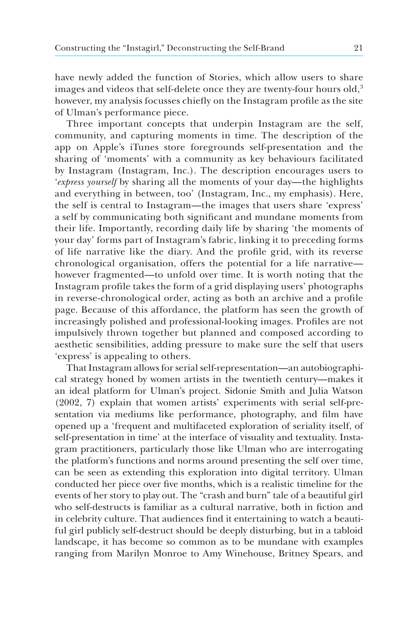have newly added the function of Stories, which allow users to share images and videos that self-delete once they are twenty-four hours old,<sup>3</sup> however, my analysis focusses chiefly on the Instagram profile as the site of Ulman's performance piece.

Three important concepts that underpin Instagram are the self, community, and capturing moments in time. The description of the app on Apple's iTunes store foregrounds self-presentation and the sharing of 'moments' with a community as key behaviours facilitated by Instagram (Instagram, Inc.). The description encourages users to '*express yourself* by sharing all the moments of your day—the highlights and everything in between, too' (Instagram, Inc., my emphasis). Here, the self is central to Instagram—the images that users share 'express' a self by communicating both significant and mundane moments from their life. Importantly, recording daily life by sharing 'the moments of your day' forms part of Instagram's fabric, linking it to preceding forms of life narrative like the diary. And the profile grid, with its reverse chronological organisation, offers the potential for a life narrative however fragmented—to unfold over time. It is worth noting that the Instagram profile takes the form of a grid displaying users' photographs in reverse-chronological order, acting as both an archive and a profile page. Because of this affordance, the platform has seen the growth of increasingly polished and professional-looking images. Profiles are not impulsively thrown together but planned and composed according to aesthetic sensibilities, adding pressure to make sure the self that users 'express' is appealing to others.

That Instagram allows for serial self-representation—an autobiographical strategy honed by women artists in the twentieth century—makes it an ideal platform for Ulman's project. Sidonie Smith and Julia Watson (2002, 7) explain that women artists' experiments with serial self-presentation via mediums like performance, photography, and film have opened up a 'frequent and multifaceted exploration of seriality itself, of self-presentation in time' at the interface of visuality and textuality. Instagram practitioners, particularly those like Ulman who are interrogating the platform's functions and norms around presenting the self over time, can be seen as extending this exploration into digital territory. Ulman conducted her piece over five months, which is a realistic timeline for the events of her story to play out. The "crash and burn" tale of a beautiful girl who self-destructs is familiar as a cultural narrative, both in fiction and in celebrity culture. That audiences find it entertaining to watch a beautiful girl publicly self-destruct should be deeply disturbing, but in a tabloid landscape, it has become so common as to be mundane with examples ranging from Marilyn Monroe to Amy Winehouse, Britney Spears, and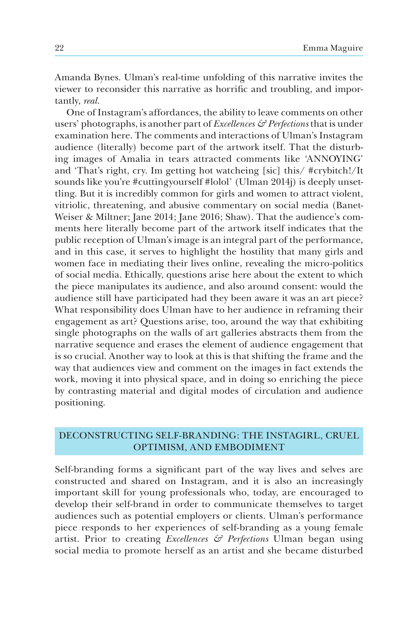Amanda Bynes. Ulman's real-time unfolding of this narrative invites the viewer to reconsider this narrative as horrific and troubling, and importantly, *real*.

One of Instagram's affordances, the ability to leave comments on other users' photographs, is another part of *Excellences & Perfections* that is under examination here. The comments and interactions of Ulman's Instagram audience (literally) become part of the artwork itself. That the disturbing images of Amalia in tears attracted comments like 'ANNOYING' and 'That's right, cry. Im getting hot watcheing [sic] this/ #crybitch!/It sounds like you're #cuttingyourself #lolol' (Ulman 2014j) is deeply unsettling. But it is incredibly common for girls and women to attract violent, vitriolic, threatening, and abusive commentary on social media (Banet-Weiser & Miltner; Jane 2014; Jane 2016; Shaw). That the audience's comments here literally become part of the artwork itself indicates that the public reception of Ulman's image is an integral part of the performance, and in this case, it serves to highlight the hostility that many girls and women face in mediating their lives online, revealing the micro-politics of social media. Ethically, questions arise here about the extent to which the piece manipulates its audience, and also around consent: would the audience still have participated had they been aware it was an art piece? What responsibility does Ulman have to her audience in reframing their engagement as art? Questions arise, too, around the way that exhibiting single photographs on the walls of art galleries abstracts them from the narrative sequence and erases the element of audience engagement that is so crucial. Another way to look at this is that shifting the frame and the way that audiences view and comment on the images in fact extends the work, moving it into physical space, and in doing so enriching the piece by contrasting material and digital modes of circulation and audience positioning.

## DECONSTRUCTING SELF-BRANDING: THE INSTAGIRL, CRUEL OPTIMISM, AND EMBODIMENT

Self-branding forms a significant part of the way lives and selves are constructed and shared on Instagram, and it is also an increasingly important skill for young professionals who, today, are encouraged to develop their self-brand in order to communicate themselves to target audiences such as potential employers or clients. Ulman's performance piece responds to her experiences of self-branding as a young female artist. Prior to creating *Excellences & Perfections* Ulman began using social media to promote herself as an artist and she became disturbed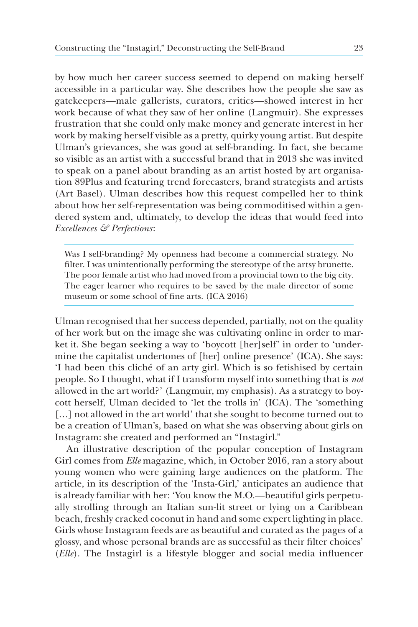by how much her career success seemed to depend on making herself accessible in a particular way. She describes how the people she saw as gatekeepers—male gallerists, curators, critics—showed interest in her work because of what they saw of her online (Langmuir). She expresses frustration that she could only make money and generate interest in her work by making herself visible as a pretty, quirky young artist. But despite Ulman's grievances, she was good at self-branding. In fact, she became so visible as an artist with a successful brand that in 2013 she was invited to speak on a panel about branding as an artist hosted by art organisation 89Plus and featuring trend forecasters, brand strategists and artists (Art Basel). Ulman describes how this request compelled her to think about how her self-representation was being commoditised within a gendered system and, ultimately, to develop the ideas that would feed into *Excellences & Perfections*:

Was I self-branding? My openness had become a commercial strategy. No filter. I was unintentionally performing the stereotype of the artsy brunette. The poor female artist who had moved from a provincial town to the big city. The eager learner who requires to be saved by the male director of some museum or some school of fine arts. (ICA 2016)

Ulman recognised that her success depended, partially, not on the quality of her work but on the image she was cultivating online in order to market it. She began seeking a way to 'boycott [her]self' in order to 'undermine the capitalist undertones of [her] online presence' (ICA). She says: 'I had been this cliché of an arty girl. Which is so fetishised by certain people. So I thought, what if I transform myself into something that is *not* allowed in the art world?' (Langmuir, my emphasis). As a strategy to boycott herself, Ulman decided to 'let the trolls in' (ICA). The 'something [...] not allowed in the art world' that she sought to become turned out to be a creation of Ulman's, based on what she was observing about girls on Instagram: she created and performed an "Instagirl."

An illustrative description of the popular conception of Instagram Girl comes from *Elle* magazine, which, in October 2016, ran a story about young women who were gaining large audiences on the platform. The article, in its description of the 'Insta-Girl,' anticipates an audience that is already familiar with her: 'You know the M.O.—beautiful girls perpetually strolling through an Italian sun-lit street or lying on a Caribbean beach, freshly cracked coconut in hand and some expert lighting in place. Girls whose Instagram feeds are as beautiful and curated as the pages of a glossy, and whose personal brands are as successful as their filter choices' (*Elle*). The Instagirl is a lifestyle blogger and social media influencer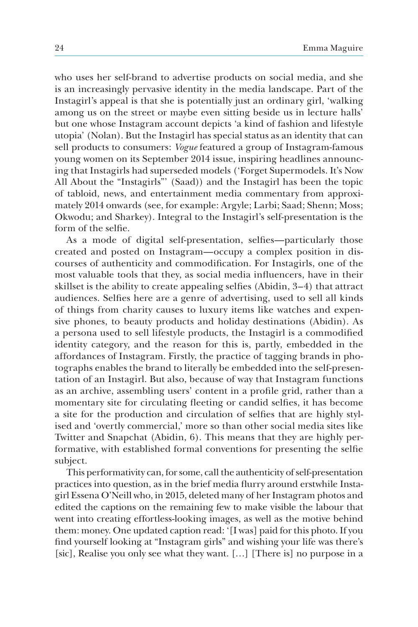who uses her self-brand to advertise products on social media, and she is an increasingly pervasive identity in the media landscape. Part of the Instagirl's appeal is that she is potentially just an ordinary girl, 'walking among us on the street or maybe even sitting beside us in lecture halls' but one whose Instagram account depicts 'a kind of fashion and lifestyle utopia' (Nolan). But the Instagirl has special status as an identity that can sell products to consumers: *Vogue* featured a group of Instagram-famous young women on its September 2014 issue, inspiring headlines announcing that Instagirls had superseded models ('Forget Supermodels. It's Now All About the "Instagirls"' (Saad)) and the Instagirl has been the topic of tabloid, news, and entertainment media commentary from approximately 2014 onwards (see, for example: Argyle; Larbi; Saad; Shenn; Moss; Okwodu; and Sharkey). Integral to the Instagirl's self-presentation is the form of the selfie.

As a mode of digital self-presentation, selfies—particularly those created and posted on Instagram—occupy a complex position in discourses of authenticity and commodification. For Instagirls, one of the most valuable tools that they, as social media influencers, have in their skillset is the ability to create appealing selfies (Abidin, 3–4) that attract audiences. Selfies here are a genre of advertising, used to sell all kinds of things from charity causes to luxury items like watches and expensive phones, to beauty products and holiday destinations (Abidin). As a persona used to sell lifestyle products, the Instagirl is a commodified identity category, and the reason for this is, partly, embedded in the affordances of Instagram. Firstly, the practice of tagging brands in photographs enables the brand to literally be embedded into the self-presentation of an Instagirl. But also, because of way that Instagram functions as an archive, assembling users' content in a profile grid, rather than a momentary site for circulating fleeting or candid selfies, it has become a site for the production and circulation of selfies that are highly stylised and 'overtly commercial,' more so than other social media sites like Twitter and Snapchat (Abidin, 6). This means that they are highly performative, with established formal conventions for presenting the selfie subject.

This performativity can, for some, call the authenticity of self-presentation practices into question, as in the brief media flurry around erstwhile Instagirl Essena O'Neill who, in 2015, deleted many of her Instagram photos and edited the captions on the remaining few to make visible the labour that went into creating effortless-looking images, as well as the motive behind them: money. One updated caption read: '[I was] paid for this photo. If you find yourself looking at "Instagram girls" and wishing your life was there's [sic], Realise you only see what they want. […] [There is] no purpose in a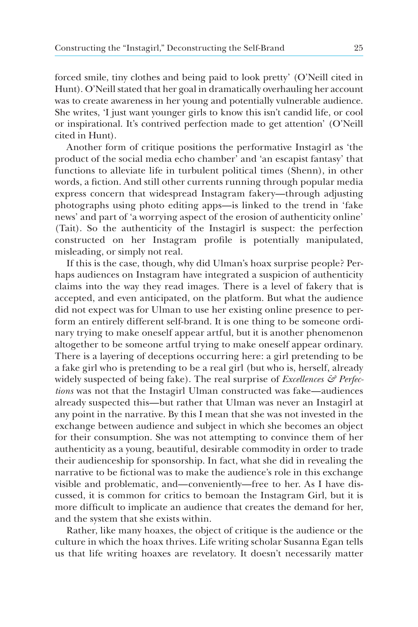forced smile, tiny clothes and being paid to look pretty' (O'Neill cited in Hunt). O'Neill stated that her goal in dramatically overhauling her account was to create awareness in her young and potentially vulnerable audience. She writes, 'I just want younger girls to know this isn't candid life, or cool or inspirational. It's contrived perfection made to get attention' (O'Neill cited in Hunt).

Another form of critique positions the performative Instagirl as 'the product of the social media echo chamber' and 'an escapist fantasy' that functions to alleviate life in turbulent political times (Shenn), in other words, a fiction. And still other currents running through popular media express concern that widespread Instagram fakery—through adjusting photographs using photo editing apps—is linked to the trend in 'fake news' and part of 'a worrying aspect of the erosion of authenticity online' (Tait). So the authenticity of the Instagirl is suspect: the perfection constructed on her Instagram profile is potentially manipulated, misleading, or simply not real.

If this is the case, though, why did Ulman's hoax surprise people? Perhaps audiences on Instagram have integrated a suspicion of authenticity claims into the way they read images. There is a level of fakery that is accepted, and even anticipated, on the platform. But what the audience did not expect was for Ulman to use her existing online presence to perform an entirely different self-brand. It is one thing to be someone ordinary trying to make oneself appear artful, but it is another phenomenon altogether to be someone artful trying to make oneself appear ordinary. There is a layering of deceptions occurring here: a girl pretending to be a fake girl who is pretending to be a real girl (but who is, herself, already widely suspected of being fake). The real surprise of *Excellences* & *Perfections* was not that the Instagirl Ulman constructed was fake—audiences already suspected this—but rather that Ulman was never an Instagirl at any point in the narrative. By this I mean that she was not invested in the exchange between audience and subject in which she becomes an object for their consumption. She was not attempting to convince them of her authenticity as a young, beautiful, desirable commodity in order to trade their audienceship for sponsorship. In fact, what she did in revealing the narrative to be fictional was to make the audience's role in this exchange visible and problematic, and—conveniently—free to her. As I have discussed, it is common for critics to bemoan the Instagram Girl, but it is more difficult to implicate an audience that creates the demand for her, and the system that she exists within.

Rather, like many hoaxes, the object of critique is the audience or the culture in which the hoax thrives. Life writing scholar Susanna Egan tells us that life writing hoaxes are revelatory. It doesn't necessarily matter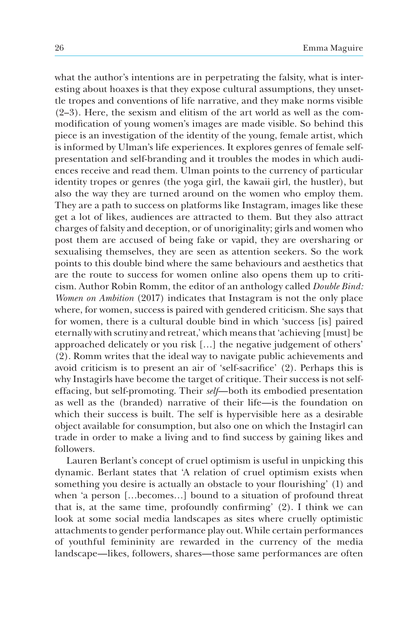what the author's intentions are in perpetrating the falsity, what is interesting about hoaxes is that they expose cultural assumptions, they unsettle tropes and conventions of life narrative, and they make norms visible (2–3). Here, the sexism and elitism of the art world as well as the commodification of young women's images are made visible. So behind this piece is an investigation of the identity of the young, female artist, which is informed by Ulman's life experiences. It explores genres of female selfpresentation and self-branding and it troubles the modes in which audiences receive and read them. Ulman points to the currency of particular identity tropes or genres (the yoga girl, the kawaii girl, the hustler), but also the way they are turned around on the women who employ them. They are a path to success on platforms like Instagram, images like these get a lot of likes, audiences are attracted to them. But they also attract charges of falsity and deception, or of unoriginality; girls and women who post them are accused of being fake or vapid, they are oversharing or sexualising themselves, they are seen as attention seekers. So the work points to this double bind where the same behaviours and aesthetics that are the route to success for women online also opens them up to criticism. Author Robin Romm, the editor of an anthology called *Double Bind: Women on Ambition* (2017) indicates that Instagram is not the only place where, for women, success is paired with gendered criticism. She says that for women, there is a cultural double bind in which 'success [is] paired eternally with scrutiny and retreat,' which means that 'achieving [must] be approached delicately or you risk […] the negative judgement of others' (2). Romm writes that the ideal way to navigate public achievements and avoid criticism is to present an air of 'self-sacrifice' (2). Perhaps this is why Instagirls have become the target of critique. Their success is not selfeffacing, but self-promoting. Their *self*—both its embodied presentation as well as the (branded) narrative of their life—is the foundation on which their success is built. The self is hypervisible here as a desirable object available for consumption, but also one on which the Instagirl can trade in order to make a living and to find success by gaining likes and followers.

Lauren Berlant's concept of cruel optimism is useful in unpicking this dynamic. Berlant states that 'A relation of cruel optimism exists when something you desire is actually an obstacle to your flourishing' (1) and when 'a person […becomes…] bound to a situation of profound threat that is, at the same time, profoundly confirming' (2). I think we can look at some social media landscapes as sites where cruelly optimistic attachments to gender performance play out. While certain performances of youthful femininity are rewarded in the currency of the media landscape—likes, followers, shares—those same performances are often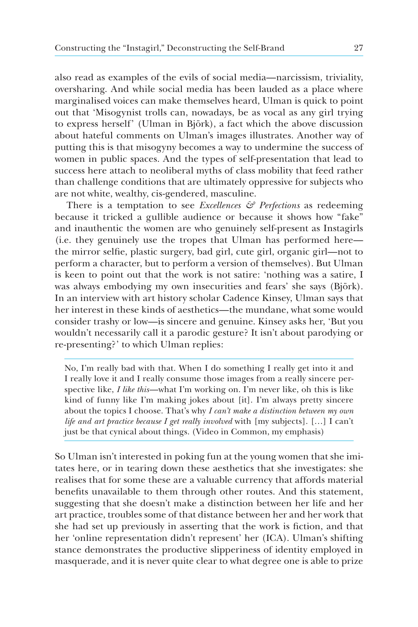also read as examples of the evils of social media—narcissism, triviality, oversharing. And while social media has been lauded as a place where marginalised voices can make themselves heard, Ulman is quick to point out that 'Misogynist trolls can, nowadays, be as vocal as any girl trying to express herself' (Ulman in Björk), a fact which the above discussion about hateful comments on Ulman's images illustrates. Another way of putting this is that misogyny becomes a way to undermine the success of women in public spaces. And the types of self-presentation that lead to success here attach to neoliberal myths of class mobility that feed rather than challenge conditions that are ultimately oppressive for subjects who are not white, wealthy, cis-gendered, masculine.

There is a temptation to see *Excellences & Perfections* as redeeming because it tricked a gullible audience or because it shows how "fake" and inauthentic the women are who genuinely self-present as Instagirls (i.e. they genuinely use the tropes that Ulman has performed here the mirror selfie, plastic surgery, bad girl, cute girl, organic girl—not to perform a character, but to perform a version of themselves). But Ulman is keen to point out that the work is not satire: 'nothing was a satire, I was always embodying my own insecurities and fears' she says (Björk). In an interview with art history scholar Cadence Kinsey, Ulman says that her interest in these kinds of aesthetics—the mundane, what some would consider trashy or low—is sincere and genuine. Kinsey asks her, 'But you wouldn't necessarily call it a parodic gesture? It isn't about parodying or re-presenting?' to which Ulman replies:

No, I'm really bad with that. When I do something I really get into it and I really love it and I really consume those images from a really sincere perspective like, *I like this*—what I'm working on. I'm never like, oh this is like kind of funny like I'm making jokes about [it]. I'm always pretty sincere about the topics I choose. That's why *I can't make a distinction between my own life and art practice because I get really involved* with [my subjects]. […] I can't just be that cynical about things. (Video in Common, my emphasis)

So Ulman isn't interested in poking fun at the young women that she imitates here, or in tearing down these aesthetics that she investigates: she realises that for some these are a valuable currency that affords material benefits unavailable to them through other routes. And this statement, suggesting that she doesn't make a distinction between her life and her art practice, troubles some of that distance between her and her work that she had set up previously in asserting that the work is fiction, and that her 'online representation didn't represent' her (ICA). Ulman's shifting stance demonstrates the productive slipperiness of identity employed in masquerade, and it is never quite clear to what degree one is able to prize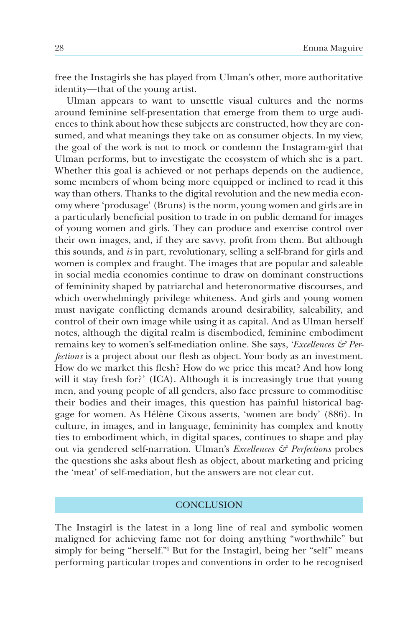free the Instagirls she has played from Ulman's other, more authoritative identity—that of the young artist.

Ulman appears to want to unsettle visual cultures and the norms around feminine self-presentation that emerge from them to urge audiences to think about how these subjects are constructed, how they are consumed, and what meanings they take on as consumer objects. In my view, the goal of the work is not to mock or condemn the Instagram-girl that Ulman performs, but to investigate the ecosystem of which she is a part. Whether this goal is achieved or not perhaps depends on the audience, some members of whom being more equipped or inclined to read it this way than others. Thanks to the digital revolution and the new media economy where 'produsage' (Bruns) is the norm, young women and girls are in a particularly beneficial position to trade in on public demand for images of young women and girls. They can produce and exercise control over their own images, and, if they are savvy, profit from them. But although this sounds, and *is* in part, revolutionary, selling a self-brand for girls and women is complex and fraught. The images that are popular and saleable in social media economies continue to draw on dominant constructions of femininity shaped by patriarchal and heteronormative discourses, and which overwhelmingly privilege whiteness. And girls and young women must navigate conflicting demands around desirability, saleability, and control of their own image while using it as capital. And as Ulman herself notes, although the digital realm is disembodied, feminine embodiment remains key to women's self-mediation online. She says, '*Excellences & Perfections* is a project about our flesh as object. Your body as an investment. How do we market this flesh? How do we price this meat? And how long will it stay fresh for?' (ICA). Although it is increasingly true that young men, and young people of all genders, also face pressure to commoditise their bodies and their images, this question has painful historical baggage for women. As Hélène Cixous asserts, 'women are body' (886). In culture, in images, and in language, femininity has complex and knotty ties to embodiment which, in digital spaces, continues to shape and play out via gendered self-narration. Ulman's *Excellences & Perfections* probes the questions she asks about flesh as object, about marketing and pricing the 'meat' of self-mediation, but the answers are not clear cut.

## **CONCLUSION**

The Instagirl is the latest in a long line of real and symbolic women maligned for achieving fame not for doing anything "worthwhile" but simply for being "herself."4 But for the Instagirl, being her "self" means performing particular tropes and conventions in order to be recognised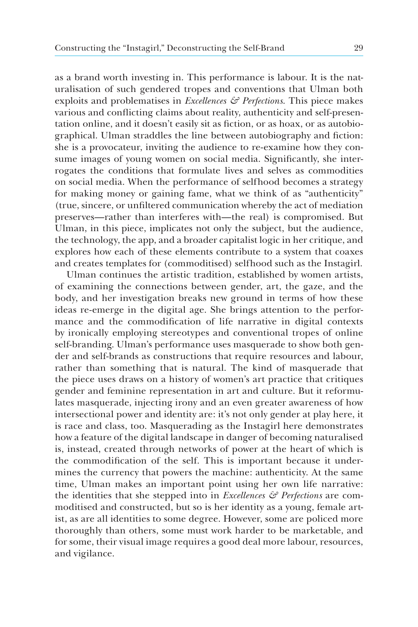as a brand worth investing in. This performance is labour. It is the naturalisation of such gendered tropes and conventions that Ulman both exploits and problematises in *Excellences & Perfections*. This piece makes various and conflicting claims about reality, authenticity and self-presentation online, and it doesn't easily sit as fiction, or as hoax, or as autobiographical. Ulman straddles the line between autobiography and fiction: she is a provocateur, inviting the audience to re-examine how they consume images of young women on social media. Significantly, she interrogates the conditions that formulate lives and selves as commodities on social media. When the performance of selfhood becomes a strategy for making money or gaining fame, what we think of as "authenticity" (true, sincere, or unfiltered communication whereby the act of mediation preserves—rather than interferes with—the real) is compromised. But Ulman, in this piece, implicates not only the subject, but the audience, the technology, the app, and a broader capitalist logic in her critique, and explores how each of these elements contribute to a system that coaxes and creates templates for (commoditised) selfhood such as the Instagirl.

Ulman continues the artistic tradition, established by women artists, of examining the connections between gender, art, the gaze, and the body, and her investigation breaks new ground in terms of how these ideas re-emerge in the digital age. She brings attention to the performance and the commodification of life narrative in digital contexts by ironically employing stereotypes and conventional tropes of online self-branding. Ulman's performance uses masquerade to show both gender and self-brands as constructions that require resources and labour, rather than something that is natural. The kind of masquerade that the piece uses draws on a history of women's art practice that critiques gender and feminine representation in art and culture. But it reformulates masquerade, injecting irony and an even greater awareness of how intersectional power and identity are: it's not only gender at play here, it is race and class, too. Masquerading as the Instagirl here demonstrates how a feature of the digital landscape in danger of becoming naturalised is, instead, created through networks of power at the heart of which is the commodification of the self. This is important because it undermines the currency that powers the machine: authenticity. At the same time, Ulman makes an important point using her own life narrative: the identities that she stepped into in *Excellences & Perfections* are commoditised and constructed, but so is her identity as a young, female artist, as are all identities to some degree. However, some are policed more thoroughly than others, some must work harder to be marketable, and for some, their visual image requires a good deal more labour, resources, and vigilance.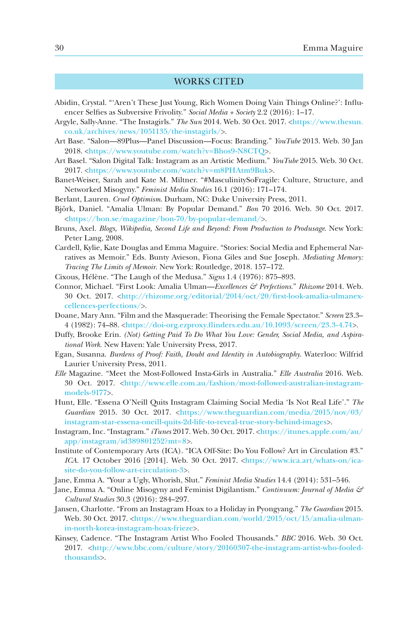#### WORKS CITED

- Abidin, Crystal. "'Aren't These Just Young, Rich Women Doing Vain Things Online?': Influencer Selfies as Subversive Frivolity." *Social Media + Society* 2.2 (2016): 1–17.
- Argyle, Sally-Anne. "The Instagirls." *The Sun* 2014. Web. 30 Oct. 2017. [<https://www.thesun.](https://www.thesun.co.uk/archives/news/1051135/the-instagirls/) [co.uk/archives/news/1051135/the-instagirls/](https://www.thesun.co.uk/archives/news/1051135/the-instagirls/)>.
- Art Base. "Salon—89Plus—Panel Discussion—Focus: Branding." *YouTube* 2013. Web. 30 Jan 2018. <[https://www.youtube.com/watch?v=Bhos9-N8CTQ>](https://www.youtube.com/watch?v=Bhos9-N8CTQ).
- Art Basel. "Salon Digital Talk: Instagram as an Artistic Medium." *YouTube* 2015. Web. 30 Oct. 2017. <[https://www.youtube.com/watch?v=m8PHAtm9Buk>](https://www.youtube.com/watch?v=m8PHAtm9Buk).
- Banet-Weiser, Sarah and Kate M. Miltner. "#MasculinitySoFragile: Culture, Structure, and Networked Misogyny." *Feminist Media Studies* 16.1 (2016): 171–174.
- Berlant, Lauren. *Cruel Optimism*. Durham, NC: Duke University Press, 2011.
- Björk, Daniel. "Amalia Ulman: By Popular Demand." *Bon* 70 2016. Web. 30 Oct. 2017. <[https://bon.se/magazine/bon-70/by-popular-demand/>](https://bon.se/magazine/bon-70/by-popular-demand/).
- Bruns, Axel. *Blogs, Wikipedia, Second Life and Beyond: From Production to Produsage*. New York: Peter Lang, 2008.
- Cardell, Kylie, Kate Douglas and Emma Maguire. "Stories: Social Media and Ephemeral Narratives as Memoir." Eds. Bunty Avieson, Fiona Giles and Sue Joseph. *Mediating Memory: Tracing The Limits of Memoir*. New York: Routledge, 2018. 157–172.
- Cixous, Hélène. "The Laugh of the Medusa." *Signs* 1.4 (1976): 875–893.
- Connor, Michael. "First Look: Amalia Ulman—*Excellences & Perfections*." *Rhizome* 2014. Web. 30 Oct. 2017. [<http://rhizome.org/editorial/2014/oct/20/first-look-amalia-ulmanex](http://rhizome.org/editorial/2014/oct/20/first-look-amalia-ulmanexcellences-perfections/)[cellences-perfections/>](http://rhizome.org/editorial/2014/oct/20/first-look-amalia-ulmanexcellences-perfections/).
- Doane, Mary Ann. "Film and the Masquerade: Theorising the Female Spectator." *Screen* 23.3– 4 (1982): 74–88. <<https://doi-org.ezproxy.flinders.edu.au/10.1093/screen/23.3-4.74>>.
- Duffy, Brooke Erin. *(Not) Getting Paid To Do What You Love: Gender, Social Media, and Aspirational Work*. New Haven: Yale University Press, 2017.
- Egan, Susanna. *Burdens of Proof: Faith, Doubt and Identity in Autobiography*. Waterloo: Wilfrid Laurier University Press, 2011.
- *Elle* Magazine. "Meet the Most-Followed Insta-Girls in Australia." *Elle Australia* 2016. Web. 30 Oct. 2017. [<http://www.elle.com.au/fashion/most-followed-australian-instagram](http://www.elle.com.au/fashion/most-followed-australian-instagram-models-9177)[models-9177>](http://www.elle.com.au/fashion/most-followed-australian-instagram-models-9177).
- Hunt, Elle. "Essena O'Neill Quits Instagram Claiming Social Media 'Is Not Real Life'." *The Guardian* 2015. 30 Oct. 2017. <[https://www.theguardian.com/media/2015/nov/03/](https://www.theguardian.com/media/2015/nov/03/instagram-star-essena-oneill-quits-2d-life-to-reveal-true-story-behind-images) [instagram-star-essena-oneill-quits-2d-life-to-reveal-true-story-behind-images>](https://www.theguardian.com/media/2015/nov/03/instagram-star-essena-oneill-quits-2d-life-to-reveal-true-story-behind-images).
- Instagram, Inc. "Instagram." *iTunes* 2017. Web. 30 Oct. 2017. <[https://itunes.apple.com/au/](https://itunes.apple.com/au/app/instagram/id389801252?mt=8) [app/instagram/id389801252?mt=8>](https://itunes.apple.com/au/app/instagram/id389801252?mt=8).
- Institute of Contemporary Arts (ICA). "ICA Off-Site: Do You Follow? Art in Circulation #3." *ICA*. 17 October 2016 [2014]. Web. 30 Oct. 2017. [<https://www.ica.art/whats-on/ica](https://www.ica.art/whats-on/ica-site-do-you-follow-art-circulation-3)[site-do-you-follow-art-circulation-3>](https://www.ica.art/whats-on/ica-site-do-you-follow-art-circulation-3).
- Jane, Emma A. "Your a Ugly, Whorish, Slut." *Feminist Media Studies* 14.4 (2014): 531–546.
- Jane, Emma A. "Online Misogyny and Feminist Digilantism." *Continuum: Journal of Media & Cultural Studies* 30.3 (2016): 284–297.
- Jansen, Charlotte. "From an Instagram Hoax to a Holiday in Pyongyang." *The Guardian* 2015. Web. 30 Oct. 2017. <[https://www.theguardian.com/world/2015/oct/15/amalia-ulman](https://www.theguardian.com/world/2015/oct/15/amalia-ulman-in-north-korea-instagram-hoax-frieze)[in-north-korea-instagram-hoax-frieze>](https://www.theguardian.com/world/2015/oct/15/amalia-ulman-in-north-korea-instagram-hoax-frieze).
- Kinsey, Cadence. "The Instagram Artist Who Fooled Thousands." *BBC* 2016. Web. 30 Oct. 2017. [<http://www.bbc.com/culture/story/20160307-the-instagram-artist-who-fooled](http://www.bbc.com/culture/story/20160307-the-instagram-artist-who-fooled-thousands)[thousands](http://www.bbc.com/culture/story/20160307-the-instagram-artist-who-fooled-thousands)>.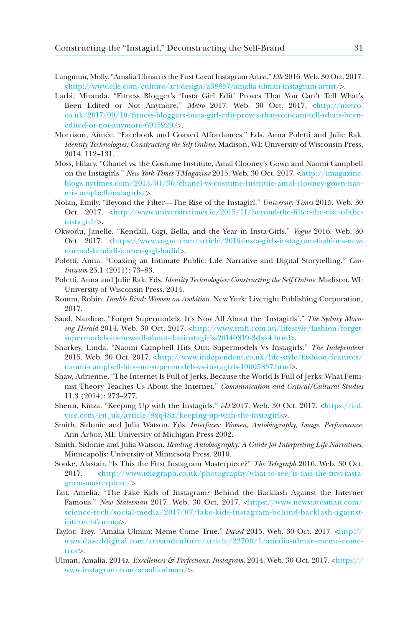- Langmuir, Molly. "Amalia Ulman is the First Great Instagram Artist." *Elle* 2016. Web. 30 Oct. 2017. <<http://www.elle.com/culture/art-design/a38857/amalia-ulman-instagram-artist/>>.
- Larbi, Miranda. "Fitness Blogger's 'Insta Girl Edit' Proves That You Can't Tell What's Been Edited or Not Anymore." Metro 2017. Web. 30 Oct. 2017. <[http://metro.](http://metro.co.uk/2017/09/10/fitness-bloggers-insta-girl-edit-proves-that-you-cant-tell-whats-been-edited-or-not-anymore-6915929/) [co.uk/2017/09/10/fitness-bloggers-insta-girl-edit-proves-that-you-cant-tell-whats-been](http://metro.co.uk/2017/09/10/fitness-bloggers-insta-girl-edit-proves-that-you-cant-tell-whats-been-edited-or-not-anymore-6915929/)[edited-or-not-anymore-6915929/](http://metro.co.uk/2017/09/10/fitness-bloggers-insta-girl-edit-proves-that-you-cant-tell-whats-been-edited-or-not-anymore-6915929/)>.
- Morrison, Aimée. "Facebook and Coaxed Affordances." Eds. Anna Poletti and Julie Rak. *Identity Technologies: Constructing the Self Online*. Madison, WI: University of Wisconsin Press, 2014. 112–131.
- Moss, Hilary. "Chanel vs. the Costume Institute, Amal Clooney's Gown and Naomi Campbell on the Instagirls." *New York Times TMagazine* 2015. Web. 30 Oct. 2017. [<http://tmagazine.](http://tmagazine.blogs.nytimes.com/2015/01/30/chanel-vs-costume-institute-amal-clooney-gown-naomi-campbell-instagirls/) [blogs.nytimes.com/2015/01/30/chanel-vs-costume-institute-amal-clooney-gown-nao](http://tmagazine.blogs.nytimes.com/2015/01/30/chanel-vs-costume-institute-amal-clooney-gown-naomi-campbell-instagirls/)[mi-campbell-instagirls/>](http://tmagazine.blogs.nytimes.com/2015/01/30/chanel-vs-costume-institute-amal-clooney-gown-naomi-campbell-instagirls/).
- Nolan, Emily. "Beyond the Filter—The Rise of the Instagirl." *University Times* 2015. Web. 30 Oct. 2017. [<http://www.universitytimes.ie/2015/11/beyond-the-filter-the-rise-of-the](http://www.universitytimes.ie/2015/11/beyond-the-filter-the-rise-of-the-instagirl/)[instagirl/>](http://www.universitytimes.ie/2015/11/beyond-the-filter-the-rise-of-the-instagirl/).
- Okwodu, Janelle. "Kendall, Gigi, Bella, and the Year in Insta-Girls." *Vogue* 2016. Web. 30 Oct. 2017. [<https://www.vogue.com/article/2016-insta-girls-instagram-fashions-new](https://www.vogue.com/article/2016-insta-girls-instagram-fashions-new-normal-kendall-jenner-gigi-hadid)[normal-kendall-jenner-gigi-hadid](https://www.vogue.com/article/2016-insta-girls-instagram-fashions-new-normal-kendall-jenner-gigi-hadid)>.
- Poletti, Anna. "Coaxing an Intimate Public: Life Narrative and Digital Storytelling." *Continuum* 25.1 (2011): 73–83.
- Poletti, Anna and Julie Rak, Eds. *Identity Technologies: Constructing the Self Online*. Madison, WI: University of Wisconsin Press, 2014.
- Romm, Robin. *Double Bind: Women on Ambition*. New York: Liveright Publishing Corporation, 2017.
- Saad, Nardine. "Forget Supermodels. It's Now All About the 'Instagirls'." *The Sydney Morning Herald* 2014. Web. 30 Oct. 2017. [<http://www.smh.com.au/lifestyle/fashion/forget](http://www.smh.com.au/lifestyle/fashion/forget-supermodels-its-now-all-about-the-instagirls-20140819-3dxs4.html)[supermodels-its-now-all-about-the-instagirls-20140819-3dxs4.html](http://www.smh.com.au/lifestyle/fashion/forget-supermodels-its-now-all-about-the-instagirls-20140819-3dxs4.html)>.
- Sharkey, Linda. "Naomi Campbell Hits Out: Supermodels Vs Instagirls." *The Independent* 2015. Web. 30 Oct. 2017. <[http://www.independent.co.uk/life-style/fashion/features/](http://www.independent.co.uk/life-style/fashion/features/naomi-campbell-hits-out-supermodels-vs-instagirls-10005837.html) [naomi-campbell-hits-out-supermodels-vs-instagirls-10005837.html](http://www.independent.co.uk/life-style/fashion/features/naomi-campbell-hits-out-supermodels-vs-instagirls-10005837.html)>.
- Shaw, Adrienne. "The Internet Is Full of Jerks, Because the World Is Full of Jerks: What Feminist Theory Teaches Us About the Internet." *Communication and Critical/Cultural Studies* 11.3 (2014): 273–277.
- Shenn, Kinza. "Keeping Up with the Instagirls." *i-D* 2017. Web. 30 Oct. 2017. [<https://i-d.](https://i-d.vice.com/en_uk/article/8xq48a/keeping-up-with-the-instagirls) [vice.com/en\\_uk/article/8xq48a/keeping-up-with-the-instagirls>](https://i-d.vice.com/en_uk/article/8xq48a/keeping-up-with-the-instagirls).
- Smith, Sidonie and Julia Watson, Eds. *Interfaces: Women, Autobiography, Image, Performance*. Ann Arbor, MI: University of Michigan Press 2002.
- Smith, Sidonie and Julia Watson. *Reading Autobiography: A Guide for Interpreting Life Narratives.* Minneapolis: University of Minnesota Press, 2010.
- Sooke, Alastair. "Is This the First Instagram Masterpiece?" *The Telegraph* 2016. Web. 30 Oct. 2017. <[http://www.telegraph.co.uk/photography/what-to-see/is-this-the-first-insta](http://www.telegraph.co.uk/photography/what-to-see/is-this-the-first-instagram-masterpiece/)[gram-masterpiece/](http://www.telegraph.co.uk/photography/what-to-see/is-this-the-first-instagram-masterpiece/)>.
- Tait, Amelia. "The Fake Kids of Instagram? Behind the Backlash Against the Internet Famous." *New Statesman* 2017. Web. 30 Oct. 2017. [<https://www.newstatesman.com/](https://www.newstatesman.com/science-tech/social-media/2017/07/fake-kids-instagram-behind-backlash-against-internet-famous) [science-tech/social-media/2017/07/fake-kids-instagram-behind-backlash-against](https://www.newstatesman.com/science-tech/social-media/2017/07/fake-kids-instagram-behind-backlash-against-internet-famous)[internet-famous](https://www.newstatesman.com/science-tech/social-media/2017/07/fake-kids-instagram-behind-backlash-against-internet-famous)>.
- Taylor, Trey. "Amalia Ulman: Meme Come True." *Dazed* 2015. Web. 30 Oct. 2017. [<http://](http://www.dazeddigital.com/artsandculture/article/23700/1/amalia-ulman-meme-come-true) [www.dazeddigital.com/artsandculture/article/23700/1/amalia-ulman-meme-come](http://www.dazeddigital.com/artsandculture/article/23700/1/amalia-ulman-meme-come-true)[true>](http://www.dazeddigital.com/artsandculture/article/23700/1/amalia-ulman-meme-come-true).
- Ulman, Amalia. 2014a. *Excellences & Perfections*. *Instagram*. 2014. Web. 30 Oct. 2017. <[https://](https://www.instagram.com/amaliaulman/) [www.instagram.com/amaliaulman/](https://www.instagram.com/amaliaulman/)>.